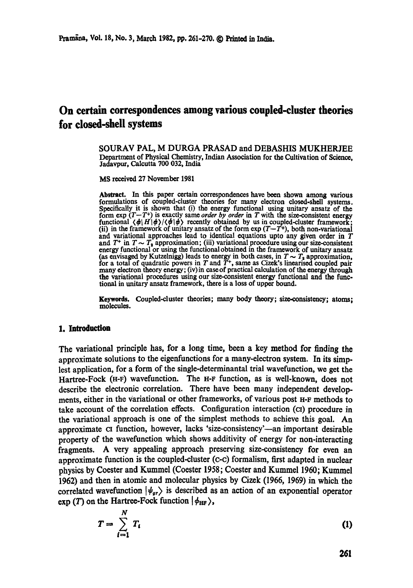# **On certain correspondences among various coupled-cluster theories for dosed-shell systems**

**SOURAV PAL, M DURGA PRASAD and DEBASHIS MUKHERJEE**  Department of Physical Chemistry, Indian Association for the Cultivation of Science, Jadavpur, Calcutta 700 032, India

MS received 27 November 1981

**Abstract.** In this paper certain correspondences have been shown among various formulations of coupled-cluster theories for many electron closed-shell systems. Specifically it is shown that (i) the energy functional using unitary ansatz of the form  $\exp(T-T^+)$  is exactly same *order by order* in T with the size-consistent energy functional  $\langle \phi | H | \phi \rangle / \langle \phi | \phi \rangle$  recently obtained by us in coupled-cluster framework; (ii) in the framework of unitary ansatz of the form  $\exp(T-T^+)$ , both non-variational and variational approaches lead to identical equations upto any given order in T and  $T^+$  in  $T \sim T_s$  approximation; (iii) variational procedure using our size-consistent energy functional or using the functional obtained in the framework of unitary ansatz (as envisaged by Kutzelnigg) leads to energy in both cases, in  $T \sim T_a$  approximation, for a total of quadratic powers in  $T$  and  $T<sup>+</sup>$ , same as Cizek's linearised coupled pair many electron theory energy; (iv)in case of practical calculation of the energy through the variational procedures using our size-consistent energy functional and the functional in unitary ansatz framework, there is a loss of upper bound.

Keywords. Coupled-duster theories; many body thcory; size-consistency; atoms; molecules.

### **1. Introduction**

The variational principle has, for a long time, been a key method for finding the approximate solutions to the eigenfunctions for a many-electron system. In its simplest application, for a form of the single-determinantal trial wavefunction, we get the Hartree-Fock (H-F) wavefunction. The H-F function, as is well-known, does not describe the electronic correlation. There have been many independent developments, either in the variational or other frameworks, of various post H-F methods to take account of the correlation effects. Configuration interaction ( $\overline{C}$ ) procedure in the variational approach is one of the simplest methods to achieve this goal. An approximate CI function, however, lacks 'size-consistency'-an important desirable property of the wavefunction which shows additivity of energy for non-interacting fragments. A very appealing approach preserving size-consistency for even an approximate function is the coupled-cluster (c-c) formalism, first adapted in nuclear physics by Coester and Kummel (Coester 1958; Coester and Kummel 1960; Kumrnel 1962) and then in atomic and molecular physics by Cizek (1966, 1969) in which the correlated wavefunction  $|\psi_{\alpha r}\rangle$  is described as an action of an exponential operator exp (T) on the Hartree-Fock function  $|\phi_{HF}\rangle$ ,

$$
T = \sum_{i=1}^{N} T_i
$$
 (1)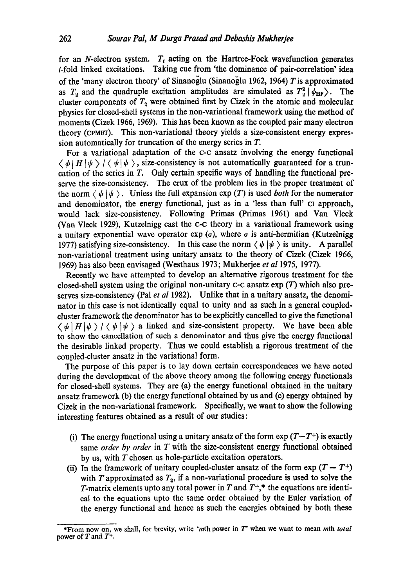for an N-electron system.  $T_t$  acting on the Hartree-Fock wavefunction generates  $i$ -fold linked excitations. Taking cue from 'the dominance of pair-correlation' idea of the 'many electron theory' of Sinanoglu (Sinanoglu 1962, 1964) T is approximated as  $T_2$  and the quadruple excitation amplitudes are simulated as  $T_2^2$   $\phi_{HF}$ ). The cluster components of  $T_2$  were obtained first by Cizek in the atomic and molecular physics for closed-shell systems in the non-variational framework using the method of moments (Cizek 1966, 1969). This has been known as the coupled pair many electron theory (CPMWT). This non-variational theory yields a size-consistent energy expression automatically for truncation of the energy series in T.

For a variational adaptation of the c-c ansatz involving the energy functional  $\langle \psi | H | \psi \rangle / \langle \psi | \psi \rangle$ , size-consistency is not automatically guaranteed for a truncation of the series in T. Only certain specific ways of handling the functional preserve the size-consistency. The crux of the problem lies in the proper treatment of the norm  $\langle \psi | \psi \rangle$ . Unless the full expansion exp (T) is used *both* for the numerator and denominator, the energy functional, just as in a 'less than full' ci approach, would lack size-consistency. Following Primas (Primas 1961) and Van Vleck (Van Vleck 1929), Kutzelnigg cast the c-c theory in a variational framework using a unitary exponential wave operator exp  $(\sigma)$ , where  $\sigma$  is anti-hermitian (Kutzelnigg 1977) satisfying size-consistency. In this case the norm  $\langle \psi | \psi \rangle$  is unity. A parallel non-variational treatment using unitary ansatz to the theory of Cizek (Cizek 1966, 1969) has also been envisaged (Westhaus 1973; Mukherjee *et al* 1975, 1977).

Recently we have attempted to develop an alternative rigorous treatment for the closed-shell system using the original non-unitary  $c$ -c ansatz  $exp(T)$  which also preserves size-consistency (Pal *et al* 1982). Unlike that in a unitary ansatz, the denominator in this case is not identically equal to unity and as such in a general coupledduster framework the denominator has to be explicitly cancelled to give the functional  $\langle \psi | H | \psi \rangle / \langle \psi | \psi \rangle$  a linked and size-consistent property. We have been able to show the cancellation of such a denominator and thus give the energy functional the desirable linked property. Thus we could establish a rigorous treatment of the coupled-duster ansatz in the variational form.

The purpose of this paper is to lay down certain correspondences we have noted during the development of the above theory among the following energy functionals for closed-shell systems. They are (a) the energy functional obtained in the unitary ansatz framework (b) the energy functional obtained by us and (c) energy obtained by Cizek in the non-variational framework. Specifically, we want to show the following interesting features obtained as a result of our studies:

- (i) The energy functional using a unitary ansatz of the form  $\exp(T-T^+)$  is exactly same *order by order* in T with the size-consistent energy functional obtained by us, with T chosen as hole-particle excitation operators.
- (ii) In the framework of unitary coupled-cluster ansatz of the form  $\exp(T T^+)$ with T approximated as  $T_2$ , if a non-variational procedure is used to solve the T-matrix elements upto any total power in T and  $T^+$ ,\* the equations are identical to the equations upto the same order obtained by the Euler variation of the energy functional and hence as such the energies obtained by both these

<sup>\*</sup>From now on, we shall, for brevity, write "mth power in T' when we want to mean mth *total*  power of T and  $T^+$ .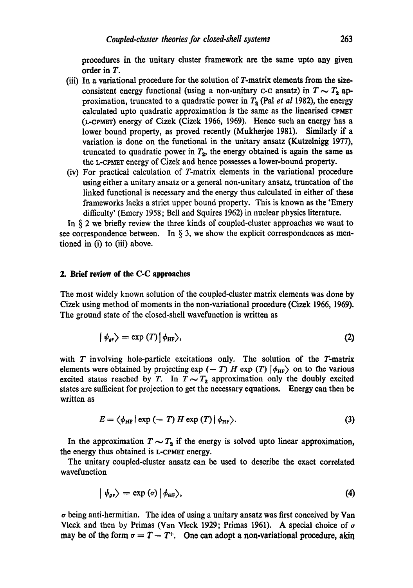procedures in the unitary duster framework are the same upto any given order in T.

- (iii) In a variational procedure for the solution of T-matrix elements from the sizeconsistent energy functional (using a non-unitary c-c ansatz) in  $T \sim T_2$  approximation, truncated to a quadratic power in  $T_a$  (Pal *et al* 1982), the energy calculated upto quadratic approximation is the same as the linearised CPMET (L-CPMBT) energy of Cizek (Cizek 1966, 1969). Hence such an energy has a lower bound property, as proved recently (Mukherjee 1981). Similarly if a variation is done on the functional in the unitary ansatz (Kutzelnigg 1977), truncated to quadratic power in  $T_2$ , the energy obtained is again the same as the L-CPMET energy of Cizek and hence possesses a lower-bound property.
- (iv) For practical calculation of T-matrix elements in the variational procedure using either a unitary ansatz or a general non-unitary ansatz, truncation of the linked functional is necessary and the energy thus calculated in either of these frameworks lacks a strict upper bound property. This is known as the 'Emery difficulty' (Emery 1958; Bell and Squires 1962) in nuclear physics literature.

In § 2 we briefly review the three kinds of coupled-cluster approaches we want to see correspondence between. In  $\S$  3, we show the explicit correspondences as mentioned in (i) to (iii) above.

## **2. Brief review of the C-C approaches**

The most widely known solution of the coupled-duster matrix dements was done by Cizek using method of moments in the non-variational procedure (Cizek 1966, 1969). The ground state of the closed-shell wavefunction is written as

$$
|\psi_{\text{gr}}\rangle = \exp(T)|\phi_{\text{HF}}\rangle, \tag{2}
$$

with  $T$  involving hole-particle excitations only. The solution of the  $T$ -matrix elements were obtained by projecting  $\exp(-T)$  H  $\exp(T)$   $|\phi_{HF}\rangle$  on to the various excited states reached by T. In  $T \sim T_2$  approximation only the doubly excited states are sufficient for projection to get the necessary equations. Energy can then be written as

$$
E = \langle \phi_{\text{HF}} \rangle \exp \left( - T \right) H \exp \left( T \right) \left| \phi_{\text{HF}} \right\rangle. \tag{3}
$$

In the approximation  $T \sim T<sub>2</sub>$  if the energy is solved upto linear approximation, the energy thus obtained is L-CPMET energy.

The unitary coupled-cluster ansatz can be used to describe the exact correlated wavefunction

$$
\left|\psi_{\text{gr}}\right\rangle = \exp\left(\sigma\right)\left|\phi_{\text{HF}}\right\rangle,\tag{4}
$$

o being anti-hermitian. The idea of using a unitary ansatz was first conceived by Van Vleck and then by Primas (Van Vleck 1929; Primas 1961). A special choice of  $\sigma$ may be of the form  $\sigma = T - T^+$ , One can adopt a non-variational procedure, akin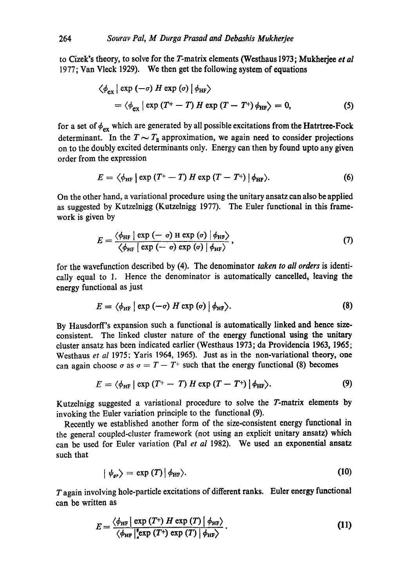to Cizek's theory, to solve for the T-matrix elements (Westhaus 1973; Mukherjee *et al* 1977; Van Vleck 1929). We then get the following system of equations

$$
\langle \phi_{\text{ex}} | \exp(-\sigma) H \exp(\sigma) | \phi_{\text{HF}} \rangle
$$
  
=  $\langle \phi_{\text{ex}} | \exp(T^+ - T) H \exp(T - T^+) \phi_{\text{HF}} \rangle = 0,$  (5)

for a set of  $\phi_{\text{ex}}$  which are generated by all possible excitations from the Hatrtree-Fock determinant. In the  $T\sim T_2$  approximation, we again need to consider projections on to the doubly excited determinants only. Energy can then by found upto any given order from the expression

$$
E = \langle \phi_{\text{HF}} \, | \, \exp\left(T^+ - T\right) H \, \exp\left(T - T^+\right) \, | \, \phi_{\text{HF}} \rangle. \tag{6}
$$

On the other hand, a variational procedure using the unitary ansatz can also be applied as suggested by Kutzelnigg (Kutzelnigg 1977). The Euler functional in this framework is given by

$$
E = \frac{\langle \phi_{\text{HF}} \mid \exp(-\sigma) \text{ H } \exp(\sigma) \mid \phi_{\text{HF}} \rangle}{\langle \phi_{\text{HF}} \mid \exp(-\sigma) \exp(\sigma) \mid \phi_{\text{HF}} \rangle}, \tag{7}
$$

for the wavefunction described by (4). The denominator *taken to all orders* is identically equal to 1. Hence the denominator is automatically cancelled, leaving the energy functional as just

$$
E = \langle \phi_{\text{HF}} \mid \exp(-\sigma) H \exp(\sigma) \mid \phi_{\text{HF}} \rangle. \tag{8}
$$

By Hausdorff's expansion such a functional is automatically linked and hence sizeconsistent. The linked cluster nature of the energy functional using the unitary cluster ansatz has been indicated earlier (Westhaus 1973; da Providencia 1963, 1965; Westhaus *et al* 1975; Yaris 1964, 1965). Just as in the non-variational theory, one can again choose  $\sigma$  as  $\sigma = T - T^+$  such that the energy functional (8) becomes

$$
E = \langle \phi_{\text{HF}} \, | \, \exp \, (T^+ - T) \, H \, \exp \, (T - T^+) \, | \, \phi_{\text{HF}} \rangle. \tag{9}
$$

Kutzelnigg suggested a variational procedure to solve the T-matrix elements by invoking the Euler variation principle to the functional (9).

Recently we established another form of the size-consistent energy functional in the general coupled-cluster framework (not using an explicit unitary ansatz) which can be used for Euler variation (Pal *et al* 1982). We used an exponential ansatz such that

$$
\langle \psi_{gr} \rangle = \exp(T) \langle \psi_{HF} \rangle. \tag{10}
$$

 $T$  again involving hole-particle excitations of different ranks. Euler energy functional can be written as

$$
E = \frac{\langle \phi_{\text{HF}} \mid \exp\left(T^{+}\right) H \exp\left(T\right) \mid \phi_{\text{HF}}\rangle}{\langle \phi_{\text{HF}} \mid \text{exp}\left(T^{+}\right) \exp\left(T\right) \mid \phi_{\text{HF}}\rangle}.
$$
\n(11)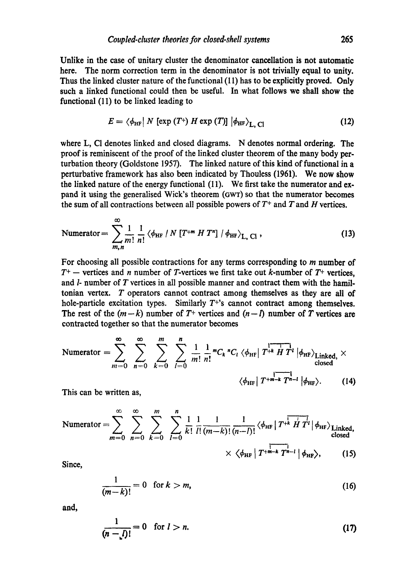Unlike in the case of unitary duster the denominator cancellation is not automatic here. The norm correction term in the denominator is not trivially equal to unity. Thus the linked cluster nature of the functional (11) has to be explicitly proved. Only such a linked functional could then be useful. In what follows we shall show the functional (11) to be linked leading to

$$
E = \langle \phi_{\text{HF}} | N \left[ \exp\left(T^+\right) H \exp\left(T\right) \right] | \phi_{\text{HF}} \rangle_{\text{L. Cl}} \tag{12}
$$

where L, CI denotes linked and closed diagrams. N denotes normal ordering. The proof is reminiscent of the proof of the linked duster theorem of the many body perturbation theory (Goldstone 1957). The linked nature of this kind of functional in a perturbative framework has also been indicated by Thouless (1961). We now show the linked nature of the energy functional (11). We first take the numerator and expand it using the generalised Wick's theorem (GWT) so that the numerator becomes the sum of all contractions between all possible powers of  $T^+$  and  $T$  and  $H$  vertices.

$$
\text{Numerator} = \sum_{m,n}^{\infty} \frac{1}{m!} \frac{1}{n!} \left\langle \phi_{\text{HF}} \left| N \left[ T^{+m} H T^{n} \right] / \phi_{\text{HF}} \right\rangle_{\text{L, Cl}} , \tag{13}
$$

For choosing all possible contractions for any terms corresponding to m number of  $T^+$  -- vertices and n number of T-vertices we first take out k-number of  $T^+$  vertices, and  $l$ - number of  $T$  vertices in all possible manner and contract them with the hamiltonian vertex. T operators cannot contract among themselves as they are all of hole-particle excitation types. Similarly  $T^{+s}$  cannot contract among themselves. The rest of the  $(m-k)$  number of  $T^+$  vertices and  $(n-l)$  number of T vertices are contracted together so that the numerator becomes

$$
\text{Numerator} = \sum_{m=0}^{\infty} \sum_{n=0}^{\infty} \sum_{k=0}^{m} \sum_{l=0}^{n} \frac{1}{m!} \frac{1}{n!} {}^{m}C_{k} {}^{n}C_{l} \langle \phi_{\text{HF}} | T^{+k} H T^{l} | \phi_{\text{HF}} \rangle_{\text{Linked,}} \times \text{closed} \cdot \langle \phi_{\text{HF}} | T^{+m-k} T^{n-l} | \phi_{\text{HF}} \rangle. \tag{14}
$$

This can be written as,

$$
\text{Numerator} = \sum_{m=0}^{\infty} \sum_{n=0}^{\infty} \sum_{k=0}^{m} \sum_{l=0}^{n} \frac{1}{k!} \frac{1}{l!} \frac{1}{(m-k)!} \frac{1}{(n-l)!} \langle \phi_{\text{HF}} | T^{+\overline{k} \overline{H} T^l} | \phi_{\text{HF}} \rangle_{\text{Linked, closed}} \times \langle \phi_{\text{HF}} | T^{+\overline{m-k} \overline{T}^{n-l}} | \phi_{\text{HF}} \rangle, \qquad (15)
$$

Since,

$$
\frac{1}{(m-k)!} = 0 \quad \text{for } k > m,
$$
\n(16)

and,

$$
\frac{1}{(n-\underline{l})!} = 0 \quad \text{for } l > n. \tag{17}
$$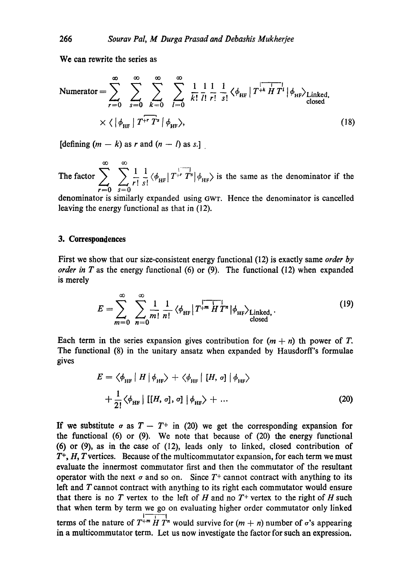We can rewrite the series as

$$
\text{Numerator} = \sum_{r=0}^{\infty} \sum_{s=0}^{\infty} \sum_{k=0}^{\infty} \sum_{l=0}^{\infty} \frac{1}{k!} \frac{1}{l!} \frac{1}{r!} \frac{1}{s!} \langle \phi_{\text{HF}} | T^{+k} H T^{l} | \phi_{\text{HF}} \rangle_{\text{Linked, closed}} \times \langle |\phi_{\text{HF}} | T^{+r} T^{s} | \phi_{\text{HF}} \rangle, \tag{18}
$$

[defining  $(m - k)$  as r and  $(n - l)$  as s.]

oo oo The factor  $\sum_{n=1}^{\infty}$   $\sum_{n=1}^{\infty}$   $\langle \phi_{\text{HF}} | T^{+} T^{s} | \phi_{\text{HF}} \rangle$  is the same as the denominator if the  $r=0$   $s=0$ 

denominator is similarly expanded using GWT. Hence the denominator is cancelled leaving the energy functional as that in (12).

#### 3. **Correspondences**

First we show that our size-consistent energy functional (12) is exactly same *order by order in T* as the energy functional  $(6)$  or  $(9)$ . The functional  $(12)$  when expanded is merely

$$
E = \sum_{m=0}^{\infty} \sum_{n=0}^{\infty} \frac{1}{m!} \frac{1}{n!} \langle \phi_{\text{HF}} | T^{+m} H T^{n} | \phi_{\text{HF}} \rangle_{\text{Linked},}
$$
 (19)

Each term in the series expansion gives contribution for  $(m + n)$  th power of T. The functional (8) in the unitary ansatz when expanded by Hausdorff's formulae gives

$$
E = \left\langle \phi_{\text{HF}} \mid H \mid \phi_{\text{HF}} \right\rangle + \left\langle \phi_{\text{HF}} \mid [H, \sigma] \mid \phi_{\text{HF}} \right\rangle + \frac{1}{2!} \left\langle \phi_{\text{HF}} \mid [[H, \sigma], \sigma] \mid \phi_{\text{HF}} \right\rangle + \dots
$$
(20)

If we substitute  $\sigma$  as  $T - T^+$  in (20) we get the corresponding expansion for the functional (6) or (9). We note that because of  $(20)$  the energy functional (6) or (9), as in the case of (12), leads only to linked, closed contribution of *T+,H, Tvertices.* Because of the multicommutator expansion, for each term we must evaluate the innermost commutator first and then the commutator of the resultant operator with the next  $\sigma$  and so on. Since T<sup>+</sup> cannot contract with anything to its left and T cannot contract with anything to its right each commutator would ensure that there is no T vertex to the left of H and no  $T^+$  vertex to the right of H such that when term by term we go on evaluating higher order commutator only linked terms of the nature of  $T^{+m}$   $\overline{H}$   $T^{n}$  would survive for  $(m + n)$  number of  $\sigma$ 's appearing in a multicommutator term. Let us now investigate the factor for such an expression.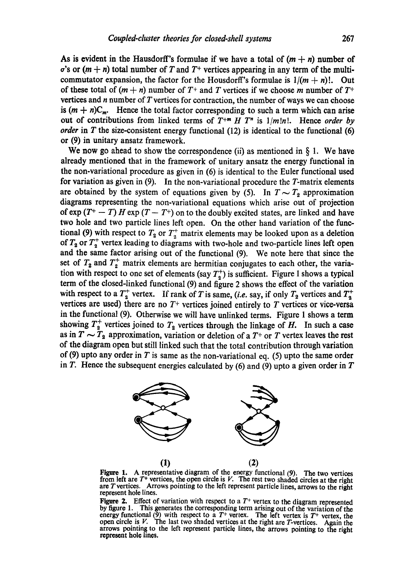As is evident in the Hausdorff's formulae if we have a total of  $(m + n)$  number of  $\sigma$ 's or  $(m + n)$  total number of T and T<sup>+</sup> vertices appearing in any term of the multicommutator expansion, the factor for the Housdorff's formulae is  $1/(m + n)!$ . Out of these total of  $(m + n)$  number of  $T^+$  and T vertices if we choose m number of  $T^+$ vertices and  $n$  number of  $T$  vertices for contraction, the number of ways we can choose is  $(m + n)C_m$ . Hence the total factor corresponding to such a term which can arise out of contributions from linked terms of  $T^{+m}$  *H*  $T^{n}$  is  $1/m!n!$ . Hence *order by order* in T the size-consistent energy functional  $(12)$  is identical to the functional  $(6)$ **or** (9) in unitary ansatz framework.

We now go ahead to show the correspondence (ii) as mentioned in  $\S$  1. We have already mentioned that in the framework of unitary ansatz the energy functional in the non-variational procedure as given in (6) is identical to the Euler functional used **for** variation as given in (9). In the non-variational procedure the T-matrix elements are obtained by the system of equations given by (5). In  $T \sim T_2$  approximation diagrams representing the non-variational equations which arise out of projection of  $\exp(T^+ - T) H \exp(T - T^+)$  on to the doubly excited states, are linked and have **two** hole and two particle lines left open. On the other hand variation of the functional (9) with respect to  $T_2$  or  $T_2^+$  matrix elements may be looked upon as a deletion of  $T_2$  or  $T_2^+$  vertex leading to diagrams with two-hole and two-particle lines left open and the same factor arising out of the functional (9). We note here that since the set of  $T_2$  and  $T_2^+$  matrix elements are hermitian conjugates to each other, the variation with respect to one set of elements (say  $T_2^+$ ) is sufficient. Figure I shows a typical term of the closed-linked functional (9) and figure 2 shows the effect of the variation with respect to a  $T_2^+$  vertex. If rank of T is same, *(i.e.* say, if only  $T_2$  vertices and  $T_3^+$ vertices are used) there are no  $T^+$  vertices joined entirely to T vertices or vice-versa in the functional (9). Otherwise we will have unlinked terms. Figure 1 shows a term showing  $T_2^+$  vertices joined to  $T_2$  vertices through the linkage of H. In such a case as in  $T \sim T_2$  approximation, variation or deletion of a  $T^+$  or T vertex leaves the rest of the diagram open but still linked such that the total contribution through variation of (9) upto any order in  $T$  is same as the non-variational eq. (5) upto the same order in T. Hence the subsequent energies calculated by  $(6)$  and  $(9)$  upto a given order in T



Figure 1. A representative diagram of the energy functional (9). The two vertices from left are  $T^+$  vertices, the open circle is V. The rest two shaded circles at the right are Tvertices. Arrows pointing to the left represent particle lines, arrows to the right represent hole lines.

Figure 2. Effect of variation with respect to a  $T^+$  vertex to the diagram represented by figure 1. This generates the corresponding term arising out of the variation of the energy functional (9) with respect to a  $T^+$  vertex. The left vertex is  $T^+$  vertex, the open circle is  $V$ . The last two shaded vertices at the right are T-vertices. Again the **arrows** pointing to the left represent particle lines, the arrows pointing to the right represent hole lines.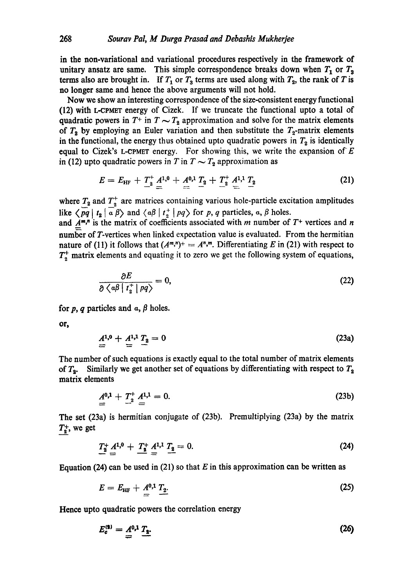in the non-variational and variational procedures respectively in the framework of unitary ansatz are same. This simple correspondence breaks down when  $T_1$  or  $T_3$ terms also are brought in. If  $T_1$  or  $T_3$  terms are used along with  $T_2$ , the rank of T is no longer same and hence the above arguments will not hold.

Now we show an interesting correspondence of the size-consistent energy functional  $(12)$  with L-CPMET energy of Cizek. If we truncate the functional upto a total of quadratic powers in  $T^+$  in  $T \sim T_2$  approximation and solve for the matrix elements of  $T_2$  by employing an Euler variation and then substitute the  $T_2$ -matrix elements in the functional, the energy thus obtained upto quadratic powers in  $T_2$  is identically equal to Cizek's L-CPMET energy. For showing this, we write the expansion of  $E$ in (12) upto quadratic powers in T in  $T \sim T_2$  approximation as

$$
E = E_{\rm HF} + \frac{T_2^*}{2} \frac{A^{1,0}}{2} + \frac{A^{0,1}}{2} \frac{T_2}{2} + \frac{T_2^*}{2} \frac{A^{1,1}}{2} \frac{T_2}{2}
$$
 (21)

where  $T_2$  and  $T_2^+$  are matrices containing various hole-particle excitation amplitudes like  $\langle pq | t_2 | \overline{a} \beta \rangle$  and  $\langle a\beta | t_2^+ | pq \rangle$  for p, q particles, a,  $\beta$  holes.

and  $A^{m,n}$  is the matrix of coefficients associated with m number of  $T^+$  vertices and n number of T-vertices when linked expectation value is evaluated. From the hermitian nature of (11) it follows that  $(A^{m,n})^+ = A^{n,m}$ . Differentiating E in (21) with respect to  $T_2^+$  matrix elements and equating it to zero we get the following system of equations,

$$
\frac{\partial E}{\partial \langle \alpha \beta | t_2^+ | p q \rangle} = 0, \tag{22}
$$

for p, q particles and  $\alpha$ ,  $\beta$  holes.

or,

$$
\mathbf{A}^{1,0} + \mathbf{A}^{1,1} \mathbf{T}_2 = 0 \tag{23a}
$$

The number of such equations is exactly equal to the total number of matrix elements of  $T_2$ . Similarly we get another set of equations by differentiating with respect to  $T_2$ matrix elements

$$
\underline{A}^{0,1} + \underline{T}^+_2 \underline{A}^{1,1} = 0. \tag{23b}
$$

The set (23a) is hermitian conjugate of (23b). Premultiplying (23a) by the matrix  $T_2^+$ , we get

$$
T_{2}^{+} A^{1,0} + T_{2}^{+} A^{1,1} T_{2} = 0.
$$
 (24)

Equation (24) can be used in (21) so that E in this approximation can be written as

$$
E = E_{\rm HF} + A^{0,1} \, T_2. \tag{25}
$$

Hence upto quadratic powers the correlation energy

$$
E_c^{(3)} = A^{0,1} T_2.
$$
 (26)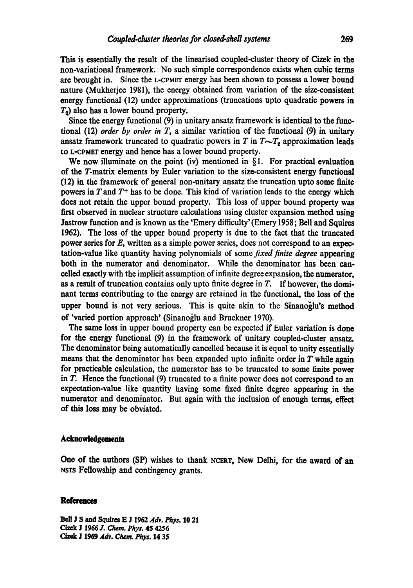This is essentially the result of the linearised coupled-cluster theory of Cizek in the non-variational framework. No such simple correspondence exists when cubic terms are brought in. Since the L-CPMET energy has been shown to possess a lower bound nature (Mukherjee 1981), the energy obtained from variation of the size-consistent energy functional (12) under approximations (truncations upto quadratic powers in  $T<sub>2</sub>$ ) also has a lower bound property.

Since the energy functional (9) in unitary ansatz framework is identical to the functional (12) *order by order in* T, a similar variation of the functional (9) in unitary ansatz framework truncated to quadratic powers in  $T$  in  $T \sim T_2$  approximation leads to L-CPMET energy and hence has a lower bound property.

We now illuminate on the point (iv) mentioned in  $\S1$ . For practical evaluation of the T-matrix elements by Euler variation to the size-consistent energy functional (12) in the framework of general non-unitary ansatz the truncation upto some finite powers in  $T$  and  $T<sup>+</sup>$  has to be done. This kind of variation leads to the energy which does not retain the upper bound property. This loss of upper bound property was first observed in nuclear structure calculations using cluster expansion method using Jastrow function and is known as the 'Emery difficulty' (Emery 1958; Bell and Squires 1962). The loss of the upper bound property is due to the fact that the truncated power series for  $E$ , written as a simple power series, does not correspond to an expectation-value like quantity having polynomials of some *fixed finite degree* appearing both in the numerator and denominator. While the denominator has been cancelled exactly with the implicit assumption of infinite degree expansion, the numerator, as a result of truncation contains only upto finite degree in  $T$ . If however, the dominant terms contributing to the energy are retained in the functional, the loss of the upper bound is not very serious. This is quite akin to the Sinanoglu's method of 'varied portion approach' (Sinanoglu and Bruckner 1970).

The same loss in upper bound property can be expected if Enler variation is done for the energy functional (9) in the framework of unitary coupled-cluster ansatz. The denominator being automatically cancelled because it is equal to unity essentially means that the denominator has been expanded upto infinite order in  $T$  while again for practicable calculation, the numerator has to be truncated to some finite power in T. Hence the functional (9) truncated to a finite power does not correspond to an expectation-value like quantity having some fixed finite degree appearing in the numerator and denominator. But again with the inclusion of enough terms, effect of this loss may be obviated.

#### **Acknowledgements**

One of the authors (SP) wishes to thank NCERT, New Delhi, for the award of an NSTS Fellowship and contingency grants.

# **References**

Bell J S and Squires E J 1962 *Adv. Phys.* 10 21 Cizek .I 1966 J. *Chem. Phy:.* 4S 4256 *Cizek J 1969 Adv. Chem. Phys.* 14 35